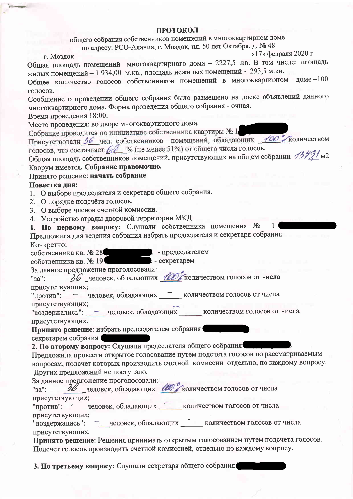## **ПРОТОКОЛ**

общего собрания собственников помещений в многоквартирном доме по адресу: РСО-Алания, г. Моздок, пл. 50 лет Октября, д. № 48

г. Моздок

Общая площадь помещений многоквартирного дома - 2227,5 .кв. В том числе: площадь жилых помещений - 1 934,00 м.кв., площадь нежилых помещений - 293,5 м.кв. Общее количество голосов собственников помещений в многоквартирном доме -100

«17» февраля 2020 г.

 $1<sup>1</sup>$ 

голосов. Сообщение о проведении общего собрания было размещено на доске объявлений данного

многоквартирного дома. Форма проведения общего собрания - очная.

Время проведения 18:00.

Место проведения: во дворе многоквартирного дома.

Собрание проводится по инициативе собственника квартиры № 1 Присутствовали 36 чел. собственников помещений, обладающих 400 Количеством голосов, что составляет 6 % (не менее 51%) от общего числа голосов.

Общая площадь собственников помещений, присутствующих на общем собрании 13491 м2 Кворум имеется. Собрание правомочно.

## Принято решение: начать собрание

## Повестка дня:

- 1. О выборе председателя и секретаря общего собрания.
- 2. О порядке подсчёта голосов.
- 3. О выборе членов счетной комиссии.
- 4. Устройство ограды дворовой территории МКД

1. По первому вопросу: Слушали собственника помещения №

Предложила для ведения собрания избрать председателя и секретаря собрания. Конкретно:

собственника кв. № 28 Петров. - председателем собственника кв. № 19

За данное предложение проголосовали:  $\frac{1}{26}$  человек, обладающих  $\frac{1}{100}$  количеством голосов от числа "<sub>3a"</sub>:

присутствующих;

"против": - человек, обладающих - количеством голосов от числа присутствующих;

"воздержались": - человек, обладающих количеством голосов от числа присутствующих.

Принято решение: избрать председателем собрания

секретарем собрания

2. По второму вопросу: Слушали председателя общего собрания

Предложила провести открытое голосование путем подсчета голосов по рассматриваемым вопросам, подсчет которых производить счетной комиссии отдельно, по каждому вопросу. Других предложений не поступало.

За ланное предложение проголосовали:

36 человек, обладающих ШО количеством голосов от числа "3a": присутствующих;

"против": - человек, обладающих количеством голосов от числа присутствующих;

"воздержались": человек, обладающих количеством голосов от числа присутствующих.

Принято решение: Решения принимать открытым голосованием путем подсчета голосов. Подсчет голосов производить счетной комиссией, отдельно по каждому вопросу.

3. По третьему вопросу: Слушали секретаря общего собрания